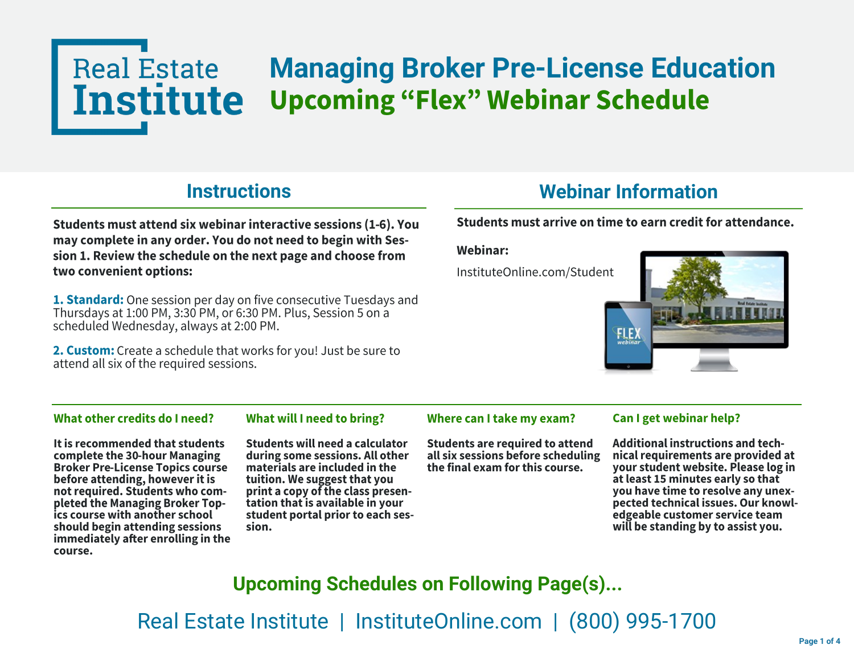## **Real Estate Managing Broker Pre-License Education Institute Upcoming "Flex" Webinar Schedule**

### **Instructions**

Students must attend six webinar interactive sessions (1-6). You may complete in any order. You do not need to begin with Session 1. Review the schedule on the next page and choose from two convenient options:

1. Standard: One session per day on five consecutive Tuesdays and Thursdays at 1:00 PM, 3:30 PM, or 6:30 PM. Plus, Session 5 on a scheduled Wednesday, always at 2:00 PM.

2. Custom: Create a schedule that works for you! Just be sure to attend all six of the required sessions.

## **Webinar Information**

### Students must arrive on time to earn credit for attendance.

**Webinar:** 

InstituteOnline.com/Student



#### What other credits do I need?

What will I need to bring?

It is recommended that students complete the 30-hour Managing **Broker Pre-License Topics course** before attending, however it is not required. Students who completed the Managing Broker Topics course with another school should begin attending sessions immediately after enrolling in the course.

Students will need a calculator during some sessions. All other materials are included in the tuition. We suggest that you print a copy of the class presentation that is available in your student portal prior to each session.

#### Where can I take my exam?

**Students are required to attend** all six sessions before scheduling the final exam for this course.

#### Can I get webinar help?

**Additional instructions and tech**nical requirements are provided at your student website. Please log in at least 15 minutes early so that you have time to resolve any unexpected technical issues. Our knowledgeable customer service team will be standing by to assist you.

**Upcoming Schedules on Following Page(s)...**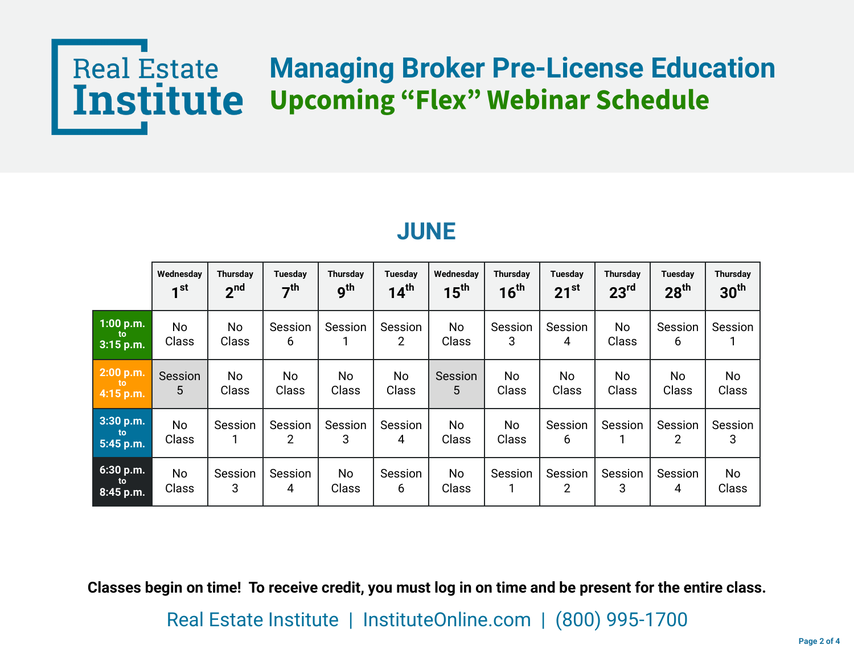# Real Estate Managing Broker Pre-License Education<br> **Institute Upcoming "Flex" Webinar Schedule**

|                                  | Wednesday<br>$\mathbf{1}$ st | <b>Thursday</b><br>2 <sub>nd</sub> | <b>Tuesday</b><br>7 <sup>th</sup> | <b>Thursday</b><br>9 <sup>th</sup> | Tuesday<br>14 <sup>th</sup> | Wednesday<br>$15^{\text{th}}$ | <b>Thursday</b><br>16 <sup>th</sup> | Tuesdav<br>$21^{st}$      | Thursdav<br>23 <sup>rd</sup> | Tuesdav<br>$28^{\text{th}}$ | <b>Thursday</b><br>30 <sup>th</sup> |
|----------------------------------|------------------------------|------------------------------------|-----------------------------------|------------------------------------|-----------------------------|-------------------------------|-------------------------------------|---------------------------|------------------------------|-----------------------------|-------------------------------------|
| $1:00$ p.m.<br>to<br>$3:15$ p.m. | No<br>Class                  | No<br><b>Class</b>                 | Session<br>6                      | Session                            | Session<br>$\overline{2}$   | No<br>Class                   | Session<br>3                        | Session<br>4              | No<br>Class                  | Session<br>6                | Session                             |
| 2:00 p.m.<br>to<br>4:15 p.m.     | Session<br>5                 | No<br>Class                        | No<br>Class                       | No<br>Class                        | No<br>Class                 | Session<br>5                  | <b>No</b><br>Class                  | No.<br>Class              | No<br>Class                  | N <sub>o</sub><br>Class     | No<br>Class                         |
| 3:30 p.m.<br>to.<br>5:45 p.m.    | No<br><b>Class</b>           | Session                            | Session<br>2                      | Session<br>3                       | Session<br>4                | No<br>Class                   | No<br>Class                         | Session<br>6              | Session                      | Session<br>2                | Session<br>3                        |
| $6:30$ p.m.<br>to<br>8:45 p.m.   | No<br>Class                  | Session<br>3                       | Session<br>4                      | No<br>Class                        | Session<br>6                | <b>No</b><br>Class            | Session                             | Session<br>$\overline{2}$ | Session<br>3                 | Session<br>4                | No<br>Class                         |

## **JUNE**

**Classes begin on time! To receive credit, you must log in on time and be present for the entire class.**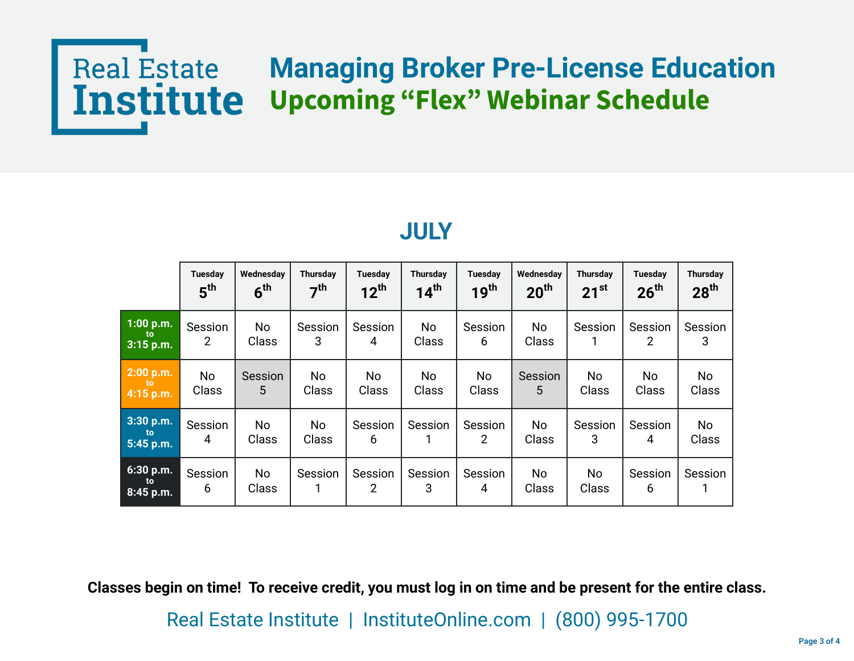# Real Estate Managing Broker Pre-License Education<br> **Institute Upcoming "Flex" Webinar Schedule**

|                                  | <b>Tuesday</b><br>5 <sup>th</sup> | Wednesday<br>$6^{\text{th}}$ | <b>Thursday</b><br>7 <sup>th</sup> | Tuesday<br>$12^{\text{th}}$ | <b>Thursday</b><br>$14^{\text{th}}$ | Tuesday<br>$19^{\text{th}}$ | Wednesday<br>20 <sup>th</sup> | <b>Thursday</b><br>$21^{st}$ | Tuesday<br>$26^{\text{th}}$ | Thursday<br>$28^{\sf th}$ |
|----------------------------------|-----------------------------------|------------------------------|------------------------------------|-----------------------------|-------------------------------------|-----------------------------|-------------------------------|------------------------------|-----------------------------|---------------------------|
| $1:00$ p.m.<br>to<br>$3:15$ p.m. | Session<br>2                      | No<br>Class                  | Session<br>3                       | Session<br>4                | <b>No</b><br>Class                  | Session<br>6                | No.<br>Class                  | Session                      | Session<br>$\overline{2}$   | Session<br>3              |
| $2:00$ p.m.<br>to<br>4:15 p.m.   | <b>No</b><br>Class                | Session<br>5                 | No<br>Class                        | No.<br>Class                | No.<br>Class                        | No.<br><b>Class</b>         | Session<br>5.                 | No<br>Class                  | No.<br>Class                | No<br><b>Class</b>        |
| 3:30 p.m.<br>to<br>5:45 p.m.     | Session<br>4                      | No<br>Class                  | No<br>Class                        | Session<br>6                | Session                             | Session<br>$\overline{2}$   | No.<br>Class                  | Session<br>3                 | Session<br>4                | No<br>Class               |
| 6:30 p.m.<br>to<br>$8:45$ p.m.   | Session<br>6                      | <b>No</b><br>Class           | Session                            | Session<br>2                | Session<br>3                        | Session<br>4                | No.<br>Class                  | <b>No</b><br>Class           | Session<br>6                | Session                   |

## **JULY**

**Classes begin on time! To receive credit, you must log in on time and be present for the entire class.**